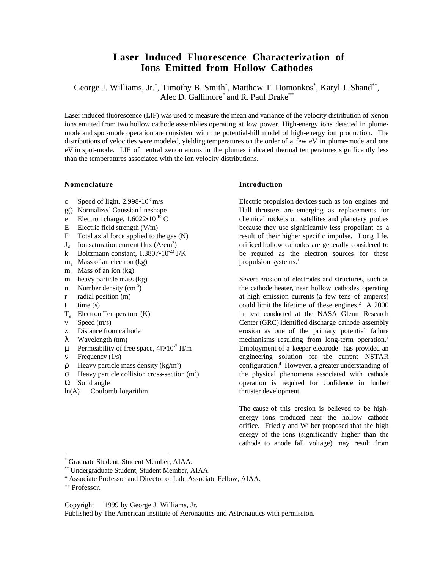# **Laser Induced Fluorescence Characterization of Ions Emitted from Hollow Cathodes**

George J. Williams, Jr.\*, Timothy B. Smith\*, Matthew T. Domonkos\*, Karyl J. Shand\*\*, Alec D. Gallimore<sup>=</sup> and R. Paul Drake<sup>==</sup>

Laser induced fluorescence (LIF) was used to measure the mean and variance of the velocity distribution of xenon ions emitted from two hollow cathode assemblies operating at low power. High-energy ions detected in plumemode and spot-mode operation are consistent with the potential-hill model of high-energy ion production. The distributions of velocities were modeled, yielding temperatures on the order of a few eV in plume-mode and one eV in spot-mode. LIF of neutral xenon atoms in the plumes indicated thermal temperatures significantly less than the temperatures associated with the ion velocity distributions.

#### **Nomenclature**

- c Speed of light,  $2.998 \cdot 10^8$  m/s
- g() Normalized Gaussian lineshape
- e Electron charge,  $1.6022 \cdot 10^{-19}$  C
- E Electric field strength  $(V/m)$
- F Total axial force applied to the gas (N)
- $J_{si}$  Ion saturation current flux (A/cm<sup>2</sup>)
- k Boltzmann constant,  $1.3807 \cdot 10^{-23}$  J/K
- $m_e$  Mass of an electron (kg)
- $m<sub>i</sub>$  Mass of an ion (kg)
- m heavy particle mass (kg)
- n Number density  $(cm<sup>-3</sup>)$
- r radial position (m)
- $t$  time  $(s)$
- $T_e$  Electron Temperature  $(K)$
- v Speed (m/s)
- z Distance from cathode
- λ Wavelength (nm)
- $μ$  Permeability of free space,  $4π•10<sup>-7</sup>$  H/m
- ν Frequency (1/s)
- $ρ$  Heavy particle mass density (kg/m<sup>3</sup>)
- $\sigma$  Heavy particle collision cross-section (m<sup>2</sup>)
- $\Omega$  Solid angle
- ln(A) Coulomb logarithm

#### **Introduction**

Electric propulsion devices such as ion engines and Hall thrusters are emerging as replacements for chemical rockets on satellites and planetary probes because they use significantly less propellant as a result of their higher specific impulse. Long life, orificed hollow cathodes are generally considered to be required as the electron sources for these propulsion systems.<sup>1</sup>

Severe erosion of electrodes and structures, such as the cathode heater, near hollow cathodes operating at high emission currents (a few tens of amperes) could limit the lifetime of these engines. $2$  A 2000 hr test conducted at the NASA Glenn Research Center (GRC) identified discharge cathode assembly erosion as one of the primary potential failure mechanisms resulting from long-term operation.3 Employment of a keeper electrode has provided an engineering solution for the current NSTAR configuration.4 However, a greater understanding of the physical phenomena associated with cathode operation is required for confidence in further thruster development.

The cause of this erosion is believed to be highenergy ions produced near the hollow cathode orifice. Friedly and Wilber proposed that the high energy of the ions (significantly higher than the cathode to anode fall voltage) may result from

 $\overline{a}$ 

Copyright © 1999 by George J. Williams, Jr.

Published by The American Institute of Aeronautics and Astronautics with permission.

<sup>\*</sup> Graduate Student, Student Member, AIAA.

<sup>\*\*</sup> Undergraduate Student, Student Member, AIAA.

<sup>=</sup> Associate Professor and Director of Lab, Associate Fellow, AIAA.

<sup>==</sup> Professor.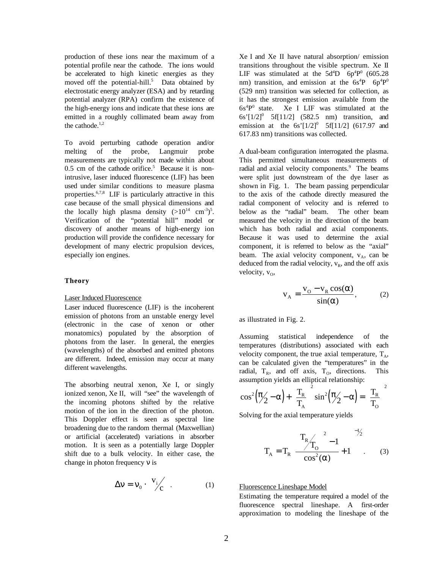production of these ions near the maximum of a potential profile near the cathode. The ions would be accelerated to high kinetic energies as they moved off the potential-hill.<sup>5</sup> Data obtained by electrostatic energy analyzer (ESA) and by retarding potential analyzer (RPA) confirm the existence of the high-energy ions and indicate that these ions are emitted in a roughly collimated beam away from the cathode. $1,2$ 

To avoid perturbing cathode operation and/or melting of the probe, Langmuir probe measurements are typically not made within about  $0.5$  cm of the cathode orifice.<sup>5</sup> Because it is nonintrusive, laser induced fluorescence (LIF) has been used under similar conditions to measure plasma properties.6,7,8 LIF is particularly attractive in this case because of the small physical dimensions and the locally high plasma density  $(>10^{14} \text{ cm}^{-3})^5$ . Verification of the "potential hill" model or discovery of another means of high-energy ion production will provide the confidence necessary for development of many electric propulsion devices, especially ion engines.

#### **Theory**

#### Laser Induced Fluorescence

Laser induced fluorescence (LIF) is the incoherent emission of photons from an unstable energy level (electronic in the case of xenon or other monatomics) populated by the absorption of photons from the laser. In general, the energies (wavelengths) of the absorbed and emitted photons are different. Indeed, emission may occur at many different wavelengths.

The absorbing neutral xenon, Xe I, or singly ionized xenon, Xe II, will "see" the wavelength of the incoming photons shifted by the relative motion of the ion in the direction of the photon. This Doppler effect is seen as spectral line broadening due to the random thermal (Maxwellian) or artificial (accelerated) variations in absorber motion. It is seen as a potentially large Doppler shift due to a bulk velocity. In either case, the change in photon frequency ν is

$$
\Delta \mathbf{v} = \mathbf{v}_0 \cdot \begin{pmatrix} \mathbf{v}_i \\ \mathbf{c} \end{pmatrix} . \tag{1}
$$

Xe I and Xe II have natural absorption/ emission transitions throughout the visible spectrum. Xe II LIF was stimulated at the  $5d^4D$ — $6p^4P^0$  (605.28) nm) transition, and emission at the  $6s^{4}P$ — $6p^{4}P^{0}$ (529 nm) transition was selected for collection, as it has the strongest emission available from the  $6s^4P^0$  state. Xe I LIF was stimulated at the 6s'[1/2]<sup>0</sup>—5f[11/2] (582.5 nm) transition, and emission at the  $6s'[1/2]^{0}$ —5f[11/2] (617.97 and 617.83 nm) transitions was collected.

A dual-beam configuration interrogated the plasma. This permitted simultaneous measurements of radial and axial velocity components.<sup>9</sup> The beams were split just downstream of the dye laser as shown in Fig. 1. The beam passing perpendicular to the axis of the cathode directly measured the radial component of velocity and is referred to below as the "radial" beam. The other beam measured the velocity in the direction of the beam which has both radial and axial components. Because it was used to determine the axial component, it is referred to below as the "axial" beam. The axial velocity component,  $v_A$ , can be deduced from the radial velocity,  $v_R$ , and the off axis velocity,  $v_0$ ,

$$
v_A = \frac{v_0 - v_R \cos(\alpha)}{\sin(\alpha)},
$$
 (2)

as illustrated in Fig. 2.

Assuming statistical independence of the temperatures (distributions) associated with each velocity component, the true axial temperature,  $T_A$ , can be calculated given the "temperatures" in the radial,  $T_R$ , and off axis,  $T_Q$ , directions. This assumption yields an elliptical relationship:

$$
\cos^2(\frac{\pi}{2} - \alpha) + \left(\frac{T_R}{T_A}\right)^2 \sin^2(\frac{\pi}{2} - \alpha) = \left(\frac{T_R}{T_O}\right)^2
$$

Solving for the axial temperature yields

$$
T_{A} = T_{R} \left[ \frac{T_{R}}{Cos^{2}(\alpha)} + 1 \right]^{-\frac{1}{2}}.
$$
 (3)

Fluorescence Lineshape Model

Estimating the temperature required a model of the fluorescence spectral lineshape. A first-order approximation to modeling the lineshape of the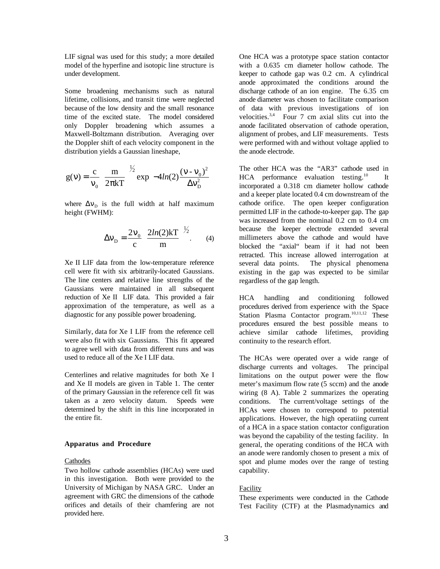LIF signal was used for this study; a more detailed model of the hyperfine and isotopic line structure is under development.

Some broadening mechanisms such as natural lifetime, collisions, and transit time were neglected because of the low density and the small resonance time of the excited state. The model considered only Doppler broadening which assumes a Maxwell-Boltzmann distribution. Averaging over the Doppler shift of each velocity component in the distribution yields a Gaussian lineshape,

$$
g(v) = \frac{c}{v_0} \left(\frac{m}{2\pi kT}\right)^{1/2} \exp\left[-4\ln(2)\frac{(v - v_0)^2}{\Delta v_D^2}\right]
$$

where  $\Delta v_{\rm D}$  is the full width at half maximum height (FWHM):

$$
\Delta v_{\rm D} = \frac{2v_0}{c} \left( \frac{2ln(2)kT}{m} \right)^{1/2}.
$$
 (4)

Xe II LIF data from the low-temperature reference cell were fit with six arbitrarily-located Gaussians. The line centers and relative line strengths of the Gaussians were maintained in all subsequent reduction of Xe II LIF data. This provided a fair approximation of the temperature, as well as a diagnostic for any possible power broadening.

Similarly, data for Xe I LIF from the reference cell were also fit with six Gaussians. This fit appeared to agree well with data from different runs and was used to reduce all of the Xe I LIF data.

Centerlines and relative magnitudes for both Xe I and Xe II models are given in Table 1. The center of the primary Gaussian in the reference cell fit was taken as a zero velocity datum. Speeds were determined by the shift in this line incorporated in the entire fit.

#### **Apparatus and Procedure**

#### Cathodes

Two hollow cathode assemblies (HCAs) were used in this investigation. Both were provided to the University of Michigan by NASA GRC. Under an agreement with GRC the dimensions of the cathode orifices and details of their chamfering are not provided here.

One HCA was a prototype space station contactor with a 0.635 cm diameter hollow cathode. The keeper to cathode gap was 0.2 cm. A cylindrical anode approximated the conditions around the discharge cathode of an ion engine. The 6.35 cm anode diameter was chosen to facilitate comparison of data with previous investigations of ion velocities. $3,4$  Four 7 cm axial slits cut into the anode facilitated observation of cathode operation, alignment of probes, and LIF measurements. Tests were performed with and without voltage applied to the anode electrode.

The other HCA was the "AR3" cathode used in  $HCA$  performance evaluation testing.<sup>10</sup> It incorporated a 0.318 cm diameter hollow cathode and a keeper plate located 0.4 cm downstream of the cathode orifice. The open keeper configuration permitted LIF in the cathode-to-keeper gap. The gap was increased from the nominal 0.2 cm to 0.4 cm because the keeper electrode extended several millimeters above the cathode and would have blocked the "axial" beam if it had not been retracted. This increase allowed interrogation at several data points. The physical phenomena existing in the gap was expected to be similar regardless of the gap length.

HCA handling and conditioning followed procedures derived from experience with the Space Station Plasma Contactor program.<sup>10,11,12</sup> These procedures ensured the best possible means to achieve similar cathode lifetimes, providing continuity to the research effort.

The HCAs were operated over a wide range of discharge currents and voltages. The principal limitations on the output power were the flow meter's maximum flow rate (5 sccm) and the anode wiring (8 A). Table 2 summarizes the operating conditions. The current/voltage settings of the HCAs were chosen to correspond to potential applications. However, the high operatiing current of a HCA in a space station contactor configuration was beyond the capability of the testing facility. In general, the operating conditions of the HCA with an anode were randomly chosen to present a mix of spot and plume modes over the range of testing capability.

#### **Facility**

These experiments were conducted in the Cathode Test Facility (CTF) at the Plasmadynamics and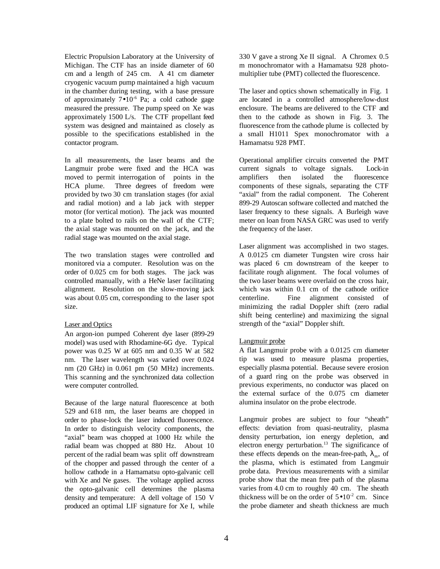Electric Propulsion Laboratory at the University of Michigan. The CTF has an inside diameter of 60 cm and a length of 245 cm. A 41 cm diameter cryogenic vacuum pump maintained a high vacuum in the chamber during testing, with a base pressure of approximately  $7 \cdot 10^{-6}$  Pa; a cold cathode gage measured the pressure. The pump speed on Xe was approximately 1500 L/s. The CTF propellant feed system was designed and maintained as closely as possible to the specifications established in the contactor program.

In all measurements, the laser beams and the Langmuir probe were fixed and the HCA was moved to permit interrogation of points in the HCA plume. Three degrees of freedom were provided by two 30 cm translation stages (for axial and radial motion) and a lab jack with stepper motor (for vertical motion). The jack was mounted to a plate bolted to rails on the wall of the CTF; the axial stage was mounted on the jack, and the radial stage was mounted on the axial stage.

The two translation stages were controlled and monitored via a computer. Resolution was on the order of 0.025 cm for both stages. The jack was controlled manually, with a HeNe laser facilitating alignment. Resolution on the slow-moving jack was about 0.05 cm, corresponding to the laser spot size.

## Laser and Optics

An argon-ion pumped Coherent dye laser (899-29 model) was used with Rhodamine-6G dye. Typical power was 0.25 W at 605 nm and 0.35 W at 582 nm. The laser wavelength was varied over 0.024 nm (20 GHz) in 0.061 pm (50 MHz) increments. This scanning and the synchronized data collection were computer controlled.

Because of the large natural fluorescence at both 529 and 618 nm, the laser beams are chopped in order to phase-lock the laser induced fluorescence. In order to distinguish velocity components, the "axial" beam was chopped at 1000 Hz while the radial beam was chopped at 880 Hz. About 10 percent of the radial beam was split off downstream of the chopper and passed through the center of a hollow cathode in a Hamamatsu opto-galvanic cell with Xe and Ne gases. The voltage applied across the opto-galvanic cell determines the plasma density and temperature: A dell voltage of 150 V produced an optimal LIF signature for Xe I, while 330 V gave a strong Xe II signal. A Chromex 0.5 m monochromator with a Hamamatsu 928 photomultiplier tube (PMT) collected the fluorescence.

The laser and optics shown schematically in Fig. 1 are located in a controlled atmosphere/low-dust enclosure. The beams are delivered to the CTF and then to the cathode as shown in Fig. 3. The fluorescence from the cathode plume is collected by a small H1011 Spex monochromator with a Hamamatsu 928 PMT.

Operational amplifier circuits converted the PMT current signals to voltage signals. Lock-in amplifiers then isolated the fluorescence components of these signals, separating the CTF "axial" from the radial component. The Coherent 899-29 Autoscan software collected and matched the laser frequency to these signals. A Burleigh wave meter on loan from NASA GRC was used to verify the frequency of the laser.

Laser alignment was accomplished in two stages. A 0.0125 cm diameter Tungsten wire cross hair was placed 6 cm downstream of the keeper to facilitate rough alignment. The focal volumes of the two laser beams were overlaid on the cross hair, which was within 0.1 cm of the cathode orifice centerline. Fine alignment consisted of minimizing the radial Doppler shift (zero radial shift being centerline) and maximizing the signal strength of the "axial" Doppler shift.

## Langmuir probe

A flat Langmuir probe with a 0.0125 cm diameter tip was used to measure plasma properties, especially plasma potential. Because severe erosion of a guard ring on the probe was observed in previous experiments, no conductor was placed on the external surface of the 0.075 cm diameter alumina insulator on the probe electrode.

Langmuir probes are subject to four "sheath" effects: deviation from quasi-neutrality, plasma density perturbation, ion energy depletion, and electron energy perturbation.<sup>13</sup> The significance of these effects depends on the mean-free-path,  $\lambda_m$ , of the plasma, which is estimated from Langmuir probe data. Previous measurements with a similar probe show that the mean free path of the plasma varies from 4.0 cm to roughly 40 cm. The sheath thickness will be on the order of  $5 \cdot 10^{-2}$  cm. Since the probe diameter and sheath thickness are much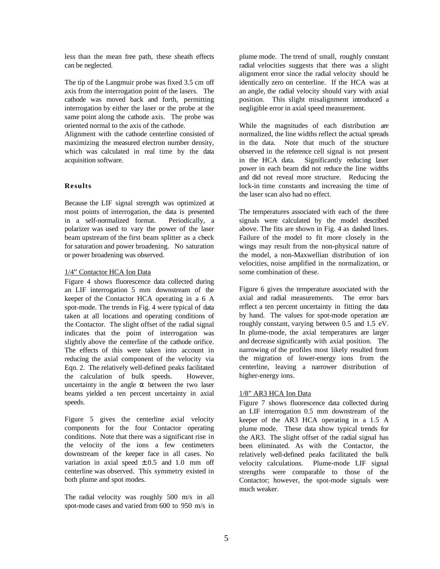less than the mean free path, these sheath effects can be neglected.

The tip of the Langmuir probe was fixed 3.5 cm off axis from the interrogation point of the lasers. The cathode was moved back and forth, permitting interrogation by either the laser or the probe at the same point along the cathode axis. The probe was oriented normal to the axis of the cathode.

Alignment with the cathode centerline consisted of maximizing the measured electron number density, which was calculated in real time by the data acquisition software.

## **Results**

Because the LIF signal strength was optimized at most points of interrogation, the data is presented in a self-normalized format. Periodically, a polarizer was used to vary the power of the laser beam upstream of the first beam splitter as a check for saturation and power broadening. No saturation or power broadening was observed.

## 1/4" Contactor HCA Ion Data

Figure 4 shows fluorescence data collected during an LIF interrogation 5 mm downstream of the keeper of the Contactor HCA operating in a 6 A spot-mode. The trends in Fig. 4 were typical of data taken at all locations and operating conditions of the Contactor. The slight offset of the radial signal indicates that the point of interrogation was slightly above the centerline of the cathode orifice. The effects of this were taken into account in reducing the axial component of the velocity via Eqn. 2. The relatively well-defined peaks facilitated the calculation of bulk speeds. However, uncertainty in the angle  $\alpha$  between the two laser beams yielded a ten percent uncertainty in axial speeds.

Figure 5 gives the centerline axial velocity components for the four Contactor operating conditions. Note that there was a significant rise in the velocity of the ions a few centimeters downstream of the keeper face in all cases. No variation in axial speed  $\pm .0.5$  and 1.0 mm off centerline was observed. This symmetry existed in both plume and spot modes.

The radial velocity was roughly 500 m/s in all spot-mode cases and varied from 600 to 950 m/s in plume mode. The trend of small, roughly constant radial velocities suggests that there was a slight alignment error since the radial velocity should be identically zero on centerline. If the HCA was at an angle, the radial velocity should vary with axial position. This slight misalignment introduced a negligible error in axial speed measurement.

While the magnitudes of each distribution are normalized, the line widths reflect the actual spreads in the data. Note that much of the structure observed in the reference cell signal is not present in the HCA data. Significantly reducing laser power in each beam did not reduce the line widths and did not reveal more structure. Reducing the lock-in time constants and increasing the time of the laser scan also had no effect.

The temperatures associated with each of the three signals were calculated by the model described above. The fits are shown in Fig. 4 as dashed lines. Failure of the model to fit more closely in the wings may result from the non-physical nature of the model, a non-Maxwellian distribution of ion velocities, noise amplified in the normalization, or some combination of these.

Figure 6 gives the temperature associated with the axial and radial measurements. The error bars reflect a ten percent uncertainty in fitting the data by hand. The values for spot-mode operation are roughly constant, varying between 0.5 and 1.5 eV. In plume-mode, the axial temperatures are larger and decrease significantly with axial position. The narrowing of the profiles most likely resulted from the migration of lower-energy ions from the centerline, leaving a narrower distribution of higher-energy ions.

#### 1/8" AR3 HCA Ion Data

Figure 7 shows fluorescence data collected during an LIF interrogation 0.5 mm downstream of the keeper of the AR3 HCA operating in a 1.5 A plume mode. These data show typical trends for the AR3. The slight offset of the radial signal has been eliminated. As with the Contactor, the relatively well-defined peaks facilitated the bulk velocity calculations. Plume-mode LIF signal strengths were comparable to those of the Contactor; however, the spot-mode signals were much weaker.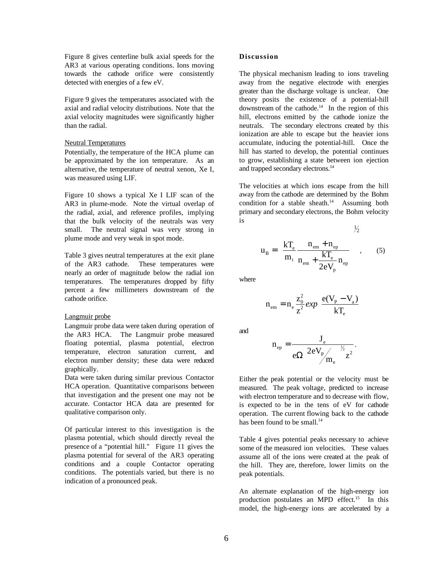Figure 8 gives centerline bulk axial speeds for the AR3 at various operating conditions. Ions moving towards the cathode orifice were consistently detected with energies of a few eV.

Figure 9 gives the temperatures associated with the axial and radial velocity distributions. Note that the axial velocity magnitudes were significantly higher than the radial.

#### Neutral Temperatures

Potentially, the temperature of the HCA plume can be approximated by the ion temperature. As an alternative, the temperature of neutral xenon, Xe I, was measured using LIF.

Figure 10 shows a typical Xe I LIF scan of the AR3 in plume-mode. Note the virtual overlap of the radial, axial, and reference profiles, implying that the bulk velocity of the neutrals was very small. The neutral signal was very strong in plume mode and very weak in spot mode.

Table 3 gives neutral temperatures at the exit plane of the AR3 cathode. These temperatures were nearly an order of magnitude below the radial ion temperatures. The temperatures dropped by fifty percent a few millimeters downstream of the cathode orifice.

#### Langmuir probe

Langmuir probe data were taken during operation of the AR3 HCA. The Langmuir probe measured floating potential, plasma potential, electron temperature, electron saturation current, and electron number density; these data were reduced graphically.

Data were taken during similar previous Contactor HCA operation. Quantitative comparisons between that investigation and the present one may not be accurate. Contactor HCA data are presented for qualitative comparison only.

Of particular interest to this investigation is the plasma potential, which should directly reveal the presence of a "potential hill." Figure 11 gives the plasma potential for several of the AR3 operating conditions and a couple Contactor operating conditions. The potentials varied, but there is no indication of a pronounced peak.

#### **Discussion**

The physical mechanism leading to ions traveling away from the negative electrode with energies greater than the discharge voltage is unclear. One theory posits the existence of a potential-hill downstream of the cathode.<sup>14</sup> In the region of this hill, electrons emitted by the cathode ionize the neutrals. The secondary electrons created by this ionization are able to escape but the heavier ions accumulate, inducing the potential-hill. Once the hill has started to develop, the potential continues to grow, establishing a state between ion ejection and trapped secondary electrons.<sup>14</sup>

The velocities at which ions escape from the hill away from the cathode are determined by the Bohm condition for a stable sheath.<sup>14</sup> Assuming both primary and secondary electrons, the Bohm velocity is  $1/$ 

$$
u_{B} = \left(\frac{kT_{e}}{m_{i}} \frac{n_{em} + n_{ep}}{n_{em} + \frac{kT_{e}}{2eV_{p}} n_{ep}}\right)^{2}
$$
 (5)

where

$$
n_{em} = n_e \frac{z_0^2}{z^2} exp \left[ \frac{e(V_p - V_a)}{kT_e} \right]
$$

and

$$
n_{\rm ep} = \frac{J_{\rm e}}{e\Omega\left(\frac{2eV_{\rm p}}{m_{\rm e}}\right)^{\frac{1}{2}}z^2}.
$$

Either the peak potential or the velocity must be measured. The peak voltage, predicted to increase with electron temperature and to decrease with flow. is expected to be in the tens of eV for cathode operation. The current flowing back to the cathode has been found to be small. $^{14}$ 

Table 4 gives potential peaks necessary to achieve some of the measured ion velocities. These values assume all of the ions were created at the peak of the hill. They are, therefore, lower limits on the peak potentials.

An alternate explanation of the high-energy ion production postulates an MPD effect.<sup>15</sup> In this model, the high-energy ions are accelerated by a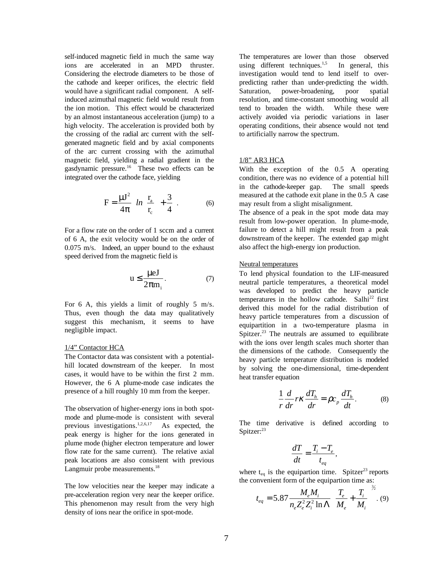self-induced magnetic field in much the same way ions are accelerated in an MPD thruster. Considering the electrode diameters to be those of the cathode and keeper orifices, the electric field would have a significant radial component. A selfinduced azimuthal magnetic field would result from the ion motion. This effect would be characterized by an almost instantaneous acceleration (jump) to a high velocity. The acceleration is provided both by the crossing of the radial arc current with the selfgenerated magnetic field and by axial components of the arc current crossing with the azimuthal magnetic field, yielding a radial gradient in the gasdynamic pressure.16 These two effects can be integrated over the cathode face, yielding

$$
F = \frac{\mu J^2}{4\pi} \left[ ln \left( \frac{r_a}{r_c} \right) + \frac{3}{4} \right].
$$
 (6)

For a flow rate on the order of 1 sccm and a current of 6 A, the exit velocity would be on the order of 0.075 m/s. Indeed, an upper bound to the exhaust speed derived from the magnetic field is

$$
u \le \frac{\mu eJ}{2\pi m_i}.
$$
 (7)

For 6 A, this yields a limit of roughly 5 m/s. Thus, even though the data may qualitatively suggest this mechanism, it seems to have negligible impact.

## 1/4" Contactor HCA

The Contactor data was consistent with a potentialhill located downstream of the keeper. In most cases, it would have to be within the first 2 mm. However, the 6 A plume-mode case indicates the presence of a hill roughly 10 mm from the keeper.

The observation of higher-energy ions in both spotmode and plume-mode is consistent with several previous investigations.1,2,6,17 As expected, the peak energy is higher for the ions generated in plume mode (higher electron temperature and lower flow rate for the same current). The relative axial peak locations are also consistent with previous Langmuir probe measurements.<sup>18</sup>

The low velocities near the keeper may indicate a pre-acceleration region very near the keeper orifice. This phenomenon may result from the very high density of ions near the orifice in spot-mode.

The temperatures are lower than those observed using different techniques.<sup>1,5</sup> In general, this investigation would tend to lend itself to overpredicting rather than under-predicting the width.<br>Saturation, power-broadening, poor spatial Saturation, power-broadening, poor spatial resolution, and time-constant smoothing would all tend to broaden the width. While these were actively avoided via periodic variations in laser operating conditions, their absence would not tend to artificially narrow the spectrum.

### 1/8" AR3 HCA

With the exception of the 0.5 A operating condition, there was no evidence of a potential hill in the cathode-keeper gap. The small speeds measured at the cathode exit plane in the 0.5 A case may result from a slight misalignment.

The absence of a peak in the spot mode data may result from low-power operation. In plume-mode, failure to detect a hill might result from a peak downstream of the keeper. The extended gap might also affect the high-energy ion production.

## Neutral temperatures

To lend physical foundation to the LIF-measured neutral particle temperatures, a theoretical model was developed to predict the heavy particle temperatures in the hollow cathode. Salhi<sup>22</sup> first derived this model for the radial distribution of heavy particle temperatures from a discussion of equipartition in a two-temperature plasma in Spitzer.<sup>23</sup> The neutrals are assumed to equilibrate with the ions over length scales much shorter than the dimensions of the cathode. Consequently the heavy particle temperature distribution is modeled by solving the one-dimensional, time-dependent heat transfer equation

$$
\frac{1}{r}\frac{d}{dr}r\kappa\frac{dT_h}{dr} = \rho c_p\frac{dT_h}{dt}.
$$
 (8)

The time derivative is defined according to Spitzer:<sup>23</sup>

$$
\frac{dT}{dt} = \frac{T_i - T_e}{t_{eq}},
$$

where  $t_{eq}$  is the equipartion time. Spitzer<sup>23</sup> reports the convenient form of the equipartion time as:

$$
t_{eq} = 5.87 \frac{M_e M_i}{n_e Z_e^2 Z_i^2 \ln \Lambda} \left(\frac{T_e}{M_e} + \frac{T_i}{M_i}\right)^{3/2}.
$$
 (9)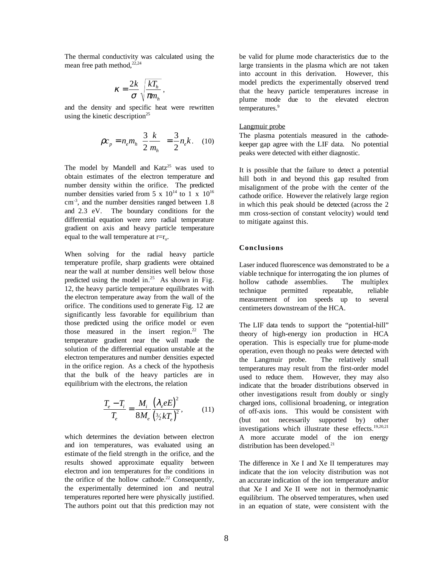The thermal conductivity was calculated using the mean free path method,  $22,24$ 

$$
\kappa = \frac{2k}{\sigma} \sqrt{\frac{kT_h}{\pi m_h}}
$$

and the density and specific heat were rewritten using the kinetic description<sup>25</sup>

$$
\rho c_p = n_e m_h \left(\frac{3}{2} \frac{k}{m_h}\right) = \frac{3}{2} n_e k. \quad (10)
$$

,

The model by Mandell and  $Katz^{25}$  was used to obtain estimates of the electron temperature and number density within the orifice. The predicted number densities varied from 5 x  $10^{14}$  to 1 x  $10^{16}$ cm-3, and the number densities ranged between 1.8 and 2.3 eV. The boundary conditions for the differential equation were zero radial temperature gradient on axis and heavy particle temperature equal to the wall temperature at  $r=r_0$ .

When solving for the radial heavy particle temperature profile, sharp gradients were obtained near the wall at number densities well below those predicted using the model in.<sup>25</sup> As shown in Fig. 12, the heavy particle temperature equilibrates with the electron temperature away from the wall of the orifice. The conditions used to generate Fig. 12 are significantly less favorable for equilibrium than those predicted using the orifice model or even those measured in the insert region.<sup>22</sup> The temperature gradient near the wall made the solution of the differential equation unstable at the electron temperatures and number densities expected in the orifice region. As a check of the hypothesis that the bulk of the heavy particles are in equilibrium with the electrons, the relation

$$
\frac{T_e - T_i}{T_e} = \frac{M_i}{8M_e} \frac{\left(\lambda_e e E\right)^2}{\left(\frac{3}{2} k T_e\right)^2},\tag{11}
$$

which determines the deviation between electron and ion temperatures, was evaluated using an estimate of the field strength in the orifice, and the results showed approximate equality between electron and ion temperatures for the conditions in the orifice of the hollow cathode.<sup>22</sup> Consequently, the experimentally determined ion and neutral temperatures reported here were physically justified. The authors point out that this prediction may not be valid for plume mode characteristics due to the large transients in the plasma which are not taken into account in this derivation. However, this model predicts the experimentally observed trend that the heavy particle temperatures increase in plume mode due to the elevated electron temperatures.<sup>9</sup>

#### Langmuir probe

The plasma potentials measured in the cathodekeeper gap agree with the LIF data. No potential peaks were detected with either diagnostic.

It is possible that the failure to detect a potential hill both in and beyond this gap resulted from misalignment of the probe with the center of the cathode orifice. However the relatively large region in which this peak should be detected (across the 2 mm cross-section of constant velocity) would tend to mitigate against this.

#### **Conclusions**

Laser induced fluorescence was demonstrated to be a viable technique for interrogating the ion plumes of hollow cathode assemblies. The multiplex technique permitted repeatable, reliable measurement of ion speeds up to several centimeters downstream of the HCA.

The LIF data tends to support the "potential-hill" theory of high-energy ion production in HCA operation. This is especially true for plume-mode operation, even though no peaks were detected with the Langmuir probe. The relatively small temperatures may result from the first-order model used to reduce them. However, they may also indicate that the broader distributions observed in other investigations result from doubly or singly charged ions, collisional broadening, or integration of off-axis ions. This would be consistent with (but not necessarily supported by) other investigations which illustrate these effects.19,20,21 A more accurate model of the ion energy distribution has been developed.<sup>21</sup>

The difference in Xe I and Xe II temperatures may indicate that the ion velocity distribution was not an accurate indication of the ion temperature and/or that Xe I and Xe II were not in thermodynamic equilibrium. The observed temperatures, when used in an equation of state, were consistent with the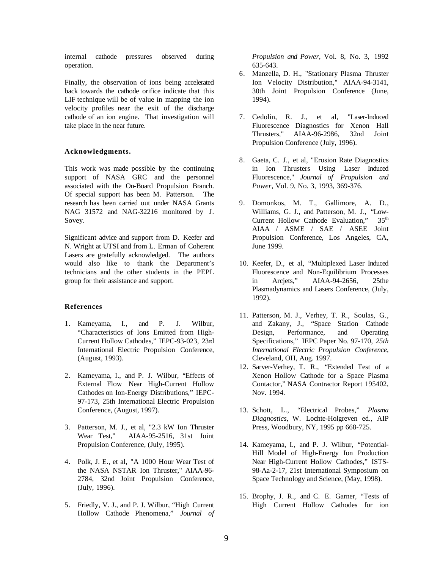internal cathode pressures observed during operation.

Finally, the observation of ions being accelerated back towards the cathode orifice indicate that this LIF technique will be of value in mapping the ion velocity profiles near the exit of the discharge cathode of an ion engine. That investigation will take place in the near future.

## **Acknowledgments.**

This work was made possible by the continuing support of NASA GRC and the personnel associated with the On-Board Propulsion Branch. Of special support has been M. Patterson. The research has been carried out under NASA Grants NAG 31572 and NAG-32216 monitored by J. Sovey.

Significant advice and support from D. Keefer and N. Wright at UTSI and from L. Erman of Coherent Lasers are gratefully acknowledged. The authors would also like to thank the Department's technicians and the other students in the PEPL group for their assistance and support.

#### **References**

- 1. Kameyama, I., and P. J. Wilbur, "Characteristics of Ions Emitted from High-Current Hollow Cathodes," IEPC-93-023, 23rd International Electric Propulsion Conference, (August, 1993).
- 2. Kameyama, I., and P. J. Wilbur, "Effects of External Flow Near High-Current Hollow Cathodes on Ion-Energy Distributions," IEPC-97-173, 25th International Electric Propulsion Conference, (August, 1997).
- 3. Patterson, M. J., et al, "2.3 kW Ion Thruster Wear Test," AIAA-95-2516, 31st Joint Propulsion Conference, (July, 1995).
- 4. Polk, J. E., et al, "A 1000 Hour Wear Test of the NASA NSTAR Ion Thruster," AIAA-96- 2784, 32nd Joint Propulsion Conference, (July, 1996).
- 5. Friedly, V. J., and P. J. Wilbur, "High Current Hollow Cathode Phenomena," *Journal of*

*Propulsion and Power,* Vol. 8, No. 3, 1992 635-643.

- 6. Manzella, D. H., "Stationary Plasma Thruster Ion Velocity Distribution," AIAA-94-3141, 30th Joint Propulsion Conference (June, 1994).
- 7. Cedolin, R. J., et al, "Laser-Induced Fluorescence Diagnostics for Xenon Hall Thrusters," AIAA-96-2986, 32nd Joint Propulsion Conference (July, 1996).
- 8. Gaeta, C. J., et al, "Erosion Rate Diagnostics in Ion Thrusters Using Laser Induced Fluorescence," *Journal of Propulsion and Power*, Vol. 9, No. 3, 1993, 369-376.
- 9. Domonkos, M. T., Gallimore, A. D., Williams, G. J., and Patterson, M. J., "Low-Current Hollow Cathode Evaluation," 35<sup>th</sup> AIAA / ASME / SAE / ASEE Joint Propulsion Conference, Los Angeles, CA, June 1999.
- 10. Keefer, D., et al, "Multiplexed Laser Induced Fluorescence and Non-Equilibrium Processes in Arcjets," AIAA-94-2656, 25the Plasmadynamics and Lasers Conference, (July, 1992).
- 11. Patterson, M. J., Verhey, T. R., Soulas, G., and Zakany, J., "Space Station Cathode Design, Performance, and Operating Specifications," IEPC Paper No. 97-170, *25th International Electric Propulsion Conference*, Cleveland, OH, Aug. 1997.
- 12. Sarver-Verhey, T. R., "Extended Test of a Xenon Hollow Cathode for a Space Plasma Contactor," NASA Contractor Report 195402, Nov. 1994.
- 13. Schott, L., "Electrical Probes," *Plasma Diagnostics,* W. Lochte-Holgreven ed., AIP Press, Woodbury, NY, 1995 pp 668-725.
- 14. Kameyama, I., and P. J. Wilbur, "Potential-Hill Model of High-Energy Ion Production Near High-Current Hollow Cathodes," ISTS-98-Aa-2-17, 21st International Symposium on Space Technology and Science, (May, 1998).
- 15. Brophy, J. R., and C. E. Garner, "Tests of High Current Hollow Cathodes for ion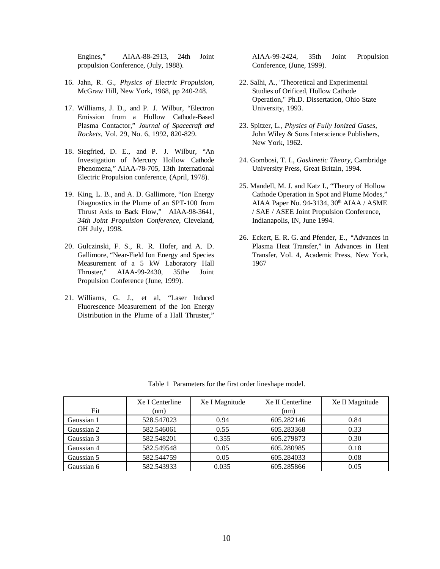Engines," AIAA-88-2913, 24th Joint propulsion Conference, (July, 1988).

- 16. Jahn, R. G., *Physics of Electric Propulsion,* McGraw Hill, New York, 1968, pp 240-248.
- 17. Williams, J. D., and P. J. Wilbur, "Electron Emission from a Hollow Cathode-Based Plasma Contactor," *Journal of Spacecraft and Rockets*, Vol. 29, No. 6, 1992, 820-829.
- 18. Siegfried, D. E., and P. J. Wilbur, "An Investigation of Mercury Hollow Cathode Phenomena," AIAA-78-705, 13th International Electric Propulsion conference, (April, 1978).
- 19. King, L. B., and A. D. Gallimore, "Ion Energy Diagnostics in the Plume of an SPT-100 from Thrust Axis to Back Flow," AIAA-98-3641*, 34th Joint Propulsion Conference,* Cleveland, OH July, 1998.
- 20. Gulczinski, F. S., R. R. Hofer, and A. D. Gallimore, "Near-Field Ion Energy and Species Measurement of a 5 kW Laboratory Hall Thruster," AIAA-99-2430, 35the Joint Propulsion Conference (June, 1999).
- 21. Williams, G. J., et al, "Laser Induced Fluorescence Measurement of the Ion Energy Distribution in the Plume of a Hall Thruster,"

AIAA-99-2424, 35th Joint Propulsion Conference, (June, 1999).

- 22. Salhi, A., "Theoretical and Experimental Studies of Orificed, Hollow Cathode Operation," Ph.D. Dissertation, Ohio State University, 1993.
- 23. Spitzer, L., *Physics of Fully Ionized Gases*, John Wiley & Sons Interscience Publishers, New York, 1962.
- 24. Gombosi, T. I., *Gaskinetic Theory*, Cambridge University Press, Great Britain, 1994.
- 25. Mandell, M. J. and Katz I., "Theory of Hollow Cathode Operation in Spot and Plume Modes," AIAA Paper No. 94-3134, 30<sup>th</sup> AIAA / ASME / SAE / ASEE Joint Propulsion Conference, Indianapolis, IN, June 1994.
- 26. Eckert, E. R. G. and Pfender, E., "Advances in Plasma Heat Transfer," in Advances in Heat Transfer, Vol. 4, Academic Press, New York, 1967

|            | Xe I Centerline | Xe I Magnitude | Xe II Centerline | Xe II Magnitude |
|------------|-----------------|----------------|------------------|-----------------|
| Fit        | (nm)            |                | (nm)             |                 |
| Gaussian 1 | 528.547023      | 0.94           | 605.282146       | 0.84            |
| Gaussian 2 | 582.546061      | 0.55           | 605.283368       | 0.33            |
| Gaussian 3 | 582.548201      | 0.355          | 605.279873       | 0.30            |
| Gaussian 4 | 582.549548      | 0.05           | 605.280985       | 0.18            |
| Gaussian 5 | 582.544759      | 0.05           | 605.284033       | 0.08            |
| Gaussian 6 | 582.543933      | 0.035          | 605.285866       | 0.05            |

Table 1 Parameters for the first order lineshape model.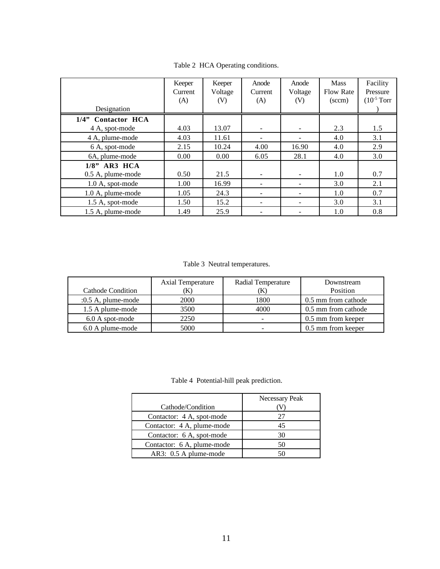|                    | Keeper<br>Current<br>(A) | Keeper<br>Voltage<br>(V) | Anode<br>Current<br>(A)  | Anode<br>Voltage<br>(V) | <b>Mass</b><br><b>Flow Rate</b><br>$(\text{sccm})$ | Facility<br>Pressure<br>$(10-5 Torr)$ |
|--------------------|--------------------------|--------------------------|--------------------------|-------------------------|----------------------------------------------------|---------------------------------------|
| Designation        |                          |                          |                          |                         |                                                    |                                       |
| 1/4" Contactor HCA |                          |                          |                          |                         |                                                    |                                       |
| 4 A, spot-mode     | 4.03                     | 13.07                    | ٠                        |                         | 2.3                                                | 1.5                                   |
| 4 A, plume-mode    | 4.03                     | 11.61                    |                          |                         | 4.0                                                | 3.1                                   |
| 6 A, spot-mode     | 2.15                     | 10.24                    | 4.00                     | 16.90                   | 4.0                                                | 2.9                                   |
| 6A, plume-mode     | 0.00                     | 0.00                     | 6.05                     | 28.1                    | 4.0                                                | 3.0                                   |
| $1/8$ " AR3 HCA    |                          |                          |                          |                         |                                                    |                                       |
| 0.5 A, plume-mode  | 0.50                     | 21.5                     | $\overline{\phantom{a}}$ |                         | 1.0                                                | 0.7                                   |
| 1.0 A, spot-mode   | 1.00                     | 16.99                    | $\overline{\phantom{a}}$ |                         | 3.0                                                | 2.1                                   |
| 1.0 A, plume-mode  | 1.05                     | 24.3                     | ۰                        |                         | 1.0                                                | 0.7                                   |
| 1.5 A, spot-mode   | 1.50                     | 15.2                     | ۰                        |                         | 3.0                                                | 3.1                                   |
| 1.5 A, plume-mode  | 1.49                     | 25.9                     | $\overline{\phantom{a}}$ |                         | 1.0                                                | 0.8                                   |

Table 2 HCA Operating conditions.

Table 3 Neutral temperatures.

|                      | <b>Axial Temperature</b> | <b>Radial Temperature</b> | Downstream          |
|----------------------|--------------------------|---------------------------|---------------------|
| Cathode Condition    | A                        | K)                        | Position            |
| $:0.5$ A, plume-mode | 2000                     | 1800                      | 0.5 mm from cathode |
| 1.5 A plume-mode     | 3500                     | 4000                      | 0.5 mm from cathode |
| 6.0 A spot-mode      | 2250                     |                           | 0.5 mm from keeper  |
| 6.0 A plume-mode     | 5000                     |                           | 0.5 mm from keeper  |

Table 4 Potential-hill peak prediction.

|                            | Necessary Peak |  |
|----------------------------|----------------|--|
| Cathode/Condition          |                |  |
| Contactor: 4 A, spot-mode  | 27             |  |
| Contactor: 4 A, plume-mode | 45             |  |
| Contactor: 6 A, spot-mode  | 30             |  |
| Contactor: 6 A, plume-mode | 50             |  |
| AR3: 0.5 A plume-mode      |                |  |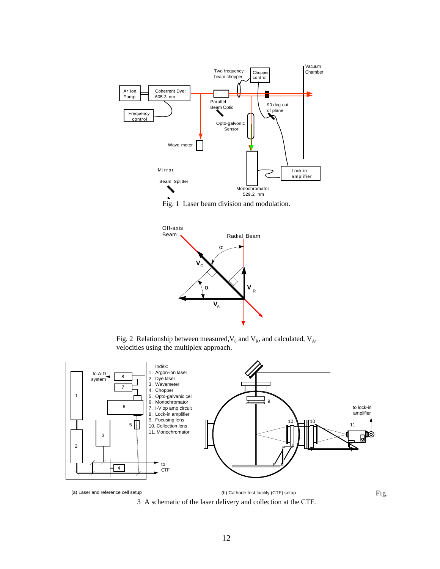





Fig. 2 Relationship between measured,  $V_0$  and  $V_R$ , and calculated,  $V_A$ , velocities using the multiplex approach.

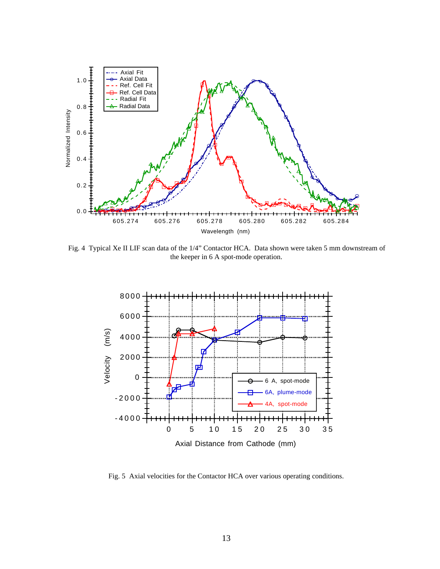

Fig. 4 Typical Xe II LIF scan data of the 1/4" Contactor HCA. Data shown were taken 5 mm downstream of the keeper in 6 A spot-mode operation.



Fig. 5 Axial velocities for the Contactor HCA over various operating conditions.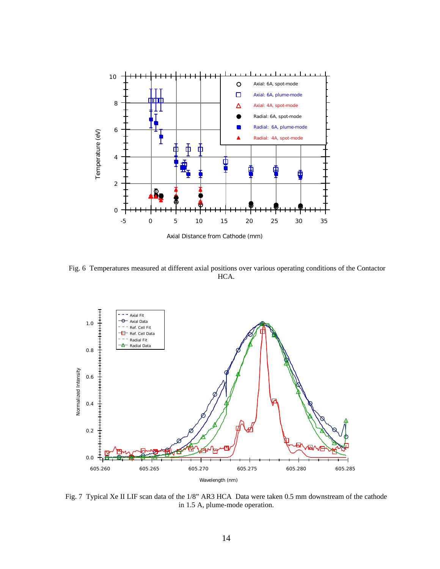

Axial Distance from Cathode (mm)

 Fig. 6 Temperatures measured at different axial positions over various operating conditions of the Contactor HCA.



Fig. 7 Typical Xe II LIF scan data of the 1/8" AR3 HCA Data were taken 0.5 mm downstream of the cathode in 1.5 A, plume-mode operation.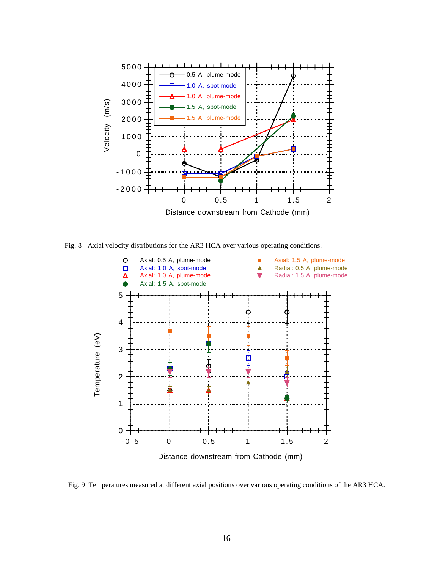

Fig. 8 Axial velocity distributions for the AR3 HCA over various operating conditions.



Fig. 9 Temperatures measured at different axial positions over various operating conditions of the AR3 HCA.